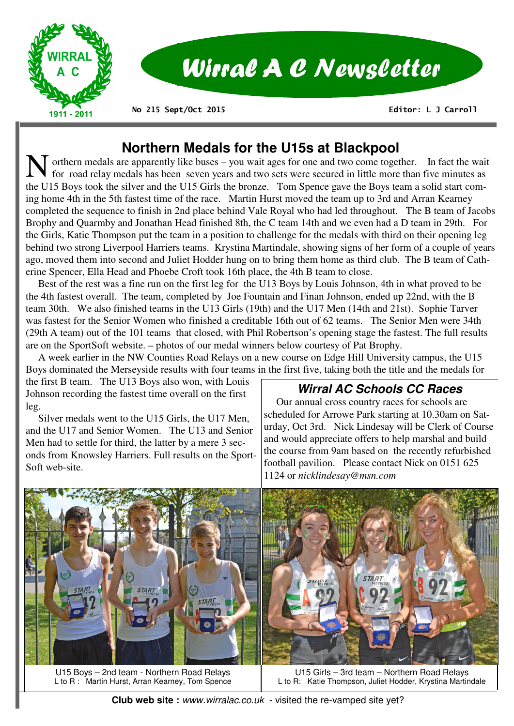

# Wirral A C Newsletter

**No 215 Sept/Oct 2015** 

 **Editor: L J Carroll** 

## **Northern Medals for the U15s at Blackpool**

 $\blacksquare$  orthern medals are apparently like buses – you wait ages for one and two come together. In fact the wait for road relay medals has been seven years and two sets were secured in little more than five minutes as the U15 Boys took the silver and the U15 Girls the bronze. Tom Spence gave the Boys team a solid start coming home 4th in the 5th fastest time of the race. Martin Hurst moved the team up to 3rd and Arran Kearney completed the sequence to finish in 2nd place behind Vale Royal who had led throughout. The B team of Jacobs Brophy and Quarmby and Jonathan Head finished 8th, the C team 14th and we even had a D team in 29th. For the Girls, Katie Thompson put the team in a position to challenge for the medals with third on their opening leg behind two strong Liverpool Harriers teams. Krystina Martindale, showing signs of her form of a couple of years ago, moved them into second and Juliet Hodder hung on to bring them home as third club. The B team of Catherine Spencer, Ella Head and Phoebe Croft took 16th place, the 4th B team to close.

 Best of the rest was a fine run on the first leg for the U13 Boys by Louis Johnson, 4th in what proved to be the 4th fastest overall. The team, completed by Joe Fountain and Finan Johnson, ended up 22nd, with the B team 30th. We also finished teams in the U13 Girls (19th) and the U17 Men (14th and 21st). Sophie Tarver was fastest for the Senior Women who finished a creditable 16th out of 62 teams. The Senior Men were 34th (29th A team) out of the 101 teams that closed, with Phil Robertson's opening stage the fastest. The full results are on the SportSoft website. – photos of our medal winners below courtesy of Pat Brophy.

 A week earlier in the NW Counties Road Relays on a new course on Edge Hill University campus, the U15 Boys dominated the Merseyside results with four teams in the first five, taking both the title and the medals for

the first B team. The U13 Boys also won, with Louis Johnson recording the fastest time overall on the first leg.

 Silver medals went to the U15 Girls, the U17 Men, and the U17 and Senior Women. The U13 and Senior Men had to settle for third, the latter by a mere 3 seconds from Knowsley Harriers. Full results on the Sport-Soft web-site.

## **Wirral AC Schools CC Races**

 Our annual cross country races for schools are scheduled for Arrowe Park starting at 10.30am on Saturday, Oct 3rd. Nick Lindesay will be Clerk of Course and would appreciate offers to help marshal and build the course from 9am based on the recently refurbished football pavilion. Please contact Nick on 0151 625 1124 or *nicklindesay@msn.com* 



U15 Boys – 2nd team - Northern Road Relays L to R : Martin Hurst, Arran Kearney, Tom Spence

U15 Girls – 3rd team – Northern Road Relays L to R: Katie Thompson, Juliet Hodder, Krystina Martindale